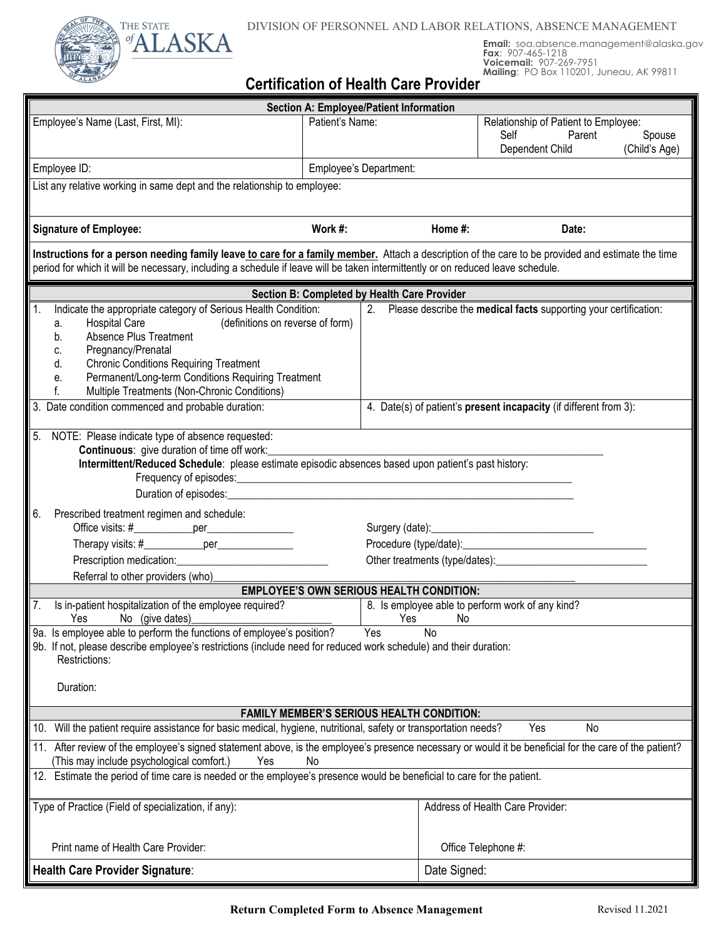



# **Email:** soa.absence.management@alaska.gov **Fax**: 907-465-1218 **Voicemail:** 907-269-7951 **Mailing**: PO Box 110201, Juneau, AK 99811

# **Certification of Health Care Provider**

| <b>Section A: Employee/Patient Information</b>                                                                                                                                                                                                                                                                                                                                                                                                                                       |                        |         |                                                                           |                         |
|--------------------------------------------------------------------------------------------------------------------------------------------------------------------------------------------------------------------------------------------------------------------------------------------------------------------------------------------------------------------------------------------------------------------------------------------------------------------------------------|------------------------|---------|---------------------------------------------------------------------------|-------------------------|
| Employee's Name (Last, First, MI):                                                                                                                                                                                                                                                                                                                                                                                                                                                   | Patient's Name:        |         | Relationship of Patient to Employee:<br>Self<br>Parent<br>Dependent Child | Spouse<br>(Child's Age) |
| Employee ID:                                                                                                                                                                                                                                                                                                                                                                                                                                                                         | Employee's Department: |         |                                                                           |                         |
| List any relative working in same dept and the relationship to employee:                                                                                                                                                                                                                                                                                                                                                                                                             |                        |         |                                                                           |                         |
| <b>Signature of Employee:</b>                                                                                                                                                                                                                                                                                                                                                                                                                                                        | Work #:                | Home #: | Date:                                                                     |                         |
| Instructions for a person needing family leave to care for a family member. Attach a description of the care to be provided and estimate the time<br>period for which it will be necessary, including a schedule if leave will be taken intermittently or on reduced leave schedule.                                                                                                                                                                                                 |                        |         |                                                                           |                         |
| Section B: Completed by Health Care Provider                                                                                                                                                                                                                                                                                                                                                                                                                                         |                        |         |                                                                           |                         |
| Indicate the appropriate category of Serious Health Condition:<br>2. Please describe the medical facts supporting your certification:<br>$\vert$ 1.<br>(definitions on reverse of form)<br><b>Hospital Care</b><br>а.<br>Absence Plus Treatment<br>b.<br>Pregnancy/Prenatal<br>C.<br><b>Chronic Conditions Requiring Treatment</b><br>d.<br>Permanent/Long-term Conditions Requiring Treatment<br>е.<br>f.<br>Multiple Treatments (Non-Chronic Conditions)                           |                        |         |                                                                           |                         |
| Date condition commenced and probable duration:<br>4. Date(s) of patient's present incapacity (if different from 3):<br>3.                                                                                                                                                                                                                                                                                                                                                           |                        |         |                                                                           |                         |
| NOTE: Please indicate type of absence requested:<br>5.<br><b>Continuous:</b> give duration of time off work:<br>Intermittent/Reduced Schedule: please estimate episodic absences based upon patient's past history:<br>Duration of episodes:<br><u>Letteral</u><br>6 <sub>1</sub><br>Prescribed treatment regimen and schedule:<br>Office visits: #_______________per____________________<br>Prescription medication: Prescription medication:<br>Referral to other providers (who)_ |                        |         |                                                                           |                         |
| <b>EMPLOYEE'S OWN SERIOUS HEALTH CONDITION:</b>                                                                                                                                                                                                                                                                                                                                                                                                                                      |                        |         |                                                                           |                         |
| Is in-patient hospitalization of the employee required?<br>8. Is employee able to perform work of any kind?<br>Ves No (give dates)<br>9a. Is employee able to perform the functions of employee's position? Yes<br>Yes<br>No<br>N <sub>o</sub>                                                                                                                                                                                                                                       |                        |         |                                                                           |                         |
| 9b. If not, please describe employee's restrictions (include need for reduced work schedule) and their duration:<br>Restrictions:<br>Duration:                                                                                                                                                                                                                                                                                                                                       |                        |         |                                                                           |                         |
| <b>FAMILY MEMBER'S SERIOUS HEALTH CONDITION:</b>                                                                                                                                                                                                                                                                                                                                                                                                                                     |                        |         |                                                                           |                         |
| 10. Will the patient require assistance for basic medical, hygiene, nutritional, safety or transportation needs?<br>Yes<br>No                                                                                                                                                                                                                                                                                                                                                        |                        |         |                                                                           |                         |
| 11. After review of the employee's signed statement above, is the employee's presence necessary or would it be beneficial for the care of the patient?<br>(This may include psychological comfort.)<br>Yes<br>No                                                                                                                                                                                                                                                                     |                        |         |                                                                           |                         |
| 12. Estimate the period of time care is needed or the employee's presence would be beneficial to care for the patient.                                                                                                                                                                                                                                                                                                                                                               |                        |         |                                                                           |                         |
| Type of Practice (Field of specialization, if any):                                                                                                                                                                                                                                                                                                                                                                                                                                  |                        |         | Address of Health Care Provider:                                          |                         |
| Print name of Health Care Provider:                                                                                                                                                                                                                                                                                                                                                                                                                                                  |                        |         | Office Telephone #:                                                       |                         |
| Health Care Provider Signature:                                                                                                                                                                                                                                                                                                                                                                                                                                                      |                        |         | Date Signed:                                                              |                         |